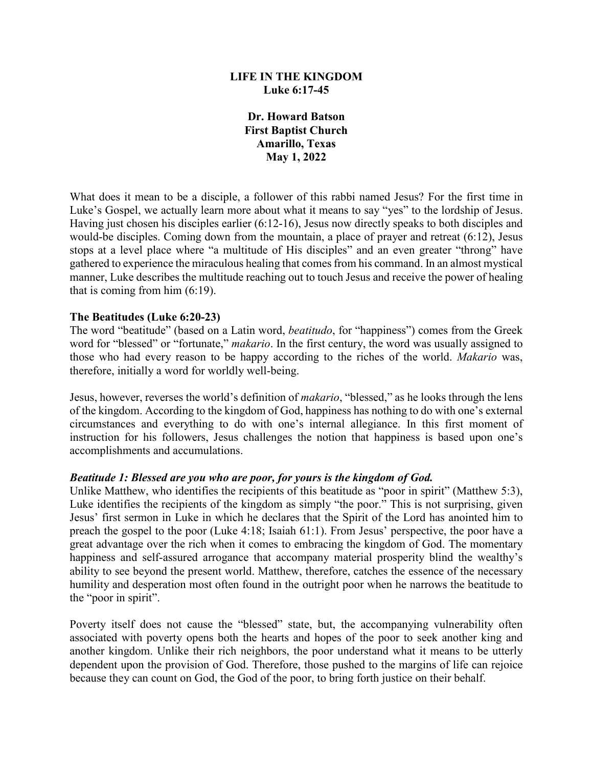### **LIFE IN THE KINGDOM Luke 6:17-45**

**Dr. Howard Batson First Baptist Church Amarillo, Texas May 1, 2022**

What does it mean to be a disciple, a follower of this rabbi named Jesus? For the first time in Luke's Gospel, we actually learn more about what it means to say "yes" to the lordship of Jesus. Having just chosen his disciples earlier (6:12-16), Jesus now directly speaks to both disciples and would-be disciples. Coming down from the mountain, a place of prayer and retreat (6:12), Jesus stops at a level place where "a multitude of His disciples" and an even greater "throng" have gathered to experience the miraculous healing that comes from his command. In an almost mystical manner, Luke describes the multitude reaching out to touch Jesus and receive the power of healing that is coming from him (6:19).

### **The Beatitudes (Luke 6:20-23)**

The word "beatitude" (based on a Latin word, *beatitudo*, for "happiness") comes from the Greek word for "blessed" or "fortunate," *makario*. In the first century, the word was usually assigned to those who had every reason to be happy according to the riches of the world. *Makario* was, therefore, initially a word for worldly well-being.

Jesus, however, reverses the world's definition of *makario*, "blessed," as he looks through the lens of the kingdom. According to the kingdom of God, happiness has nothing to do with one's external circumstances and everything to do with one's internal allegiance. In this first moment of instruction for his followers, Jesus challenges the notion that happiness is based upon one's accomplishments and accumulations.

#### *Beatitude 1: Blessed are you who are poor, for yours is the kingdom of God.*

Unlike Matthew, who identifies the recipients of this beatitude as "poor in spirit" (Matthew 5:3), Luke identifies the recipients of the kingdom as simply "the poor." This is not surprising, given Jesus' first sermon in Luke in which he declares that the Spirit of the Lord has anointed him to preach the gospel to the poor (Luke 4:18; Isaiah 61:1). From Jesus' perspective, the poor have a great advantage over the rich when it comes to embracing the kingdom of God. The momentary happiness and self-assured arrogance that accompany material prosperity blind the wealthy's ability to see beyond the present world. Matthew, therefore, catches the essence of the necessary humility and desperation most often found in the outright poor when he narrows the beatitude to the "poor in spirit".

Poverty itself does not cause the "blessed" state, but, the accompanying vulnerability often associated with poverty opens both the hearts and hopes of the poor to seek another king and another kingdom. Unlike their rich neighbors, the poor understand what it means to be utterly dependent upon the provision of God. Therefore, those pushed to the margins of life can rejoice because they can count on God, the God of the poor, to bring forth justice on their behalf.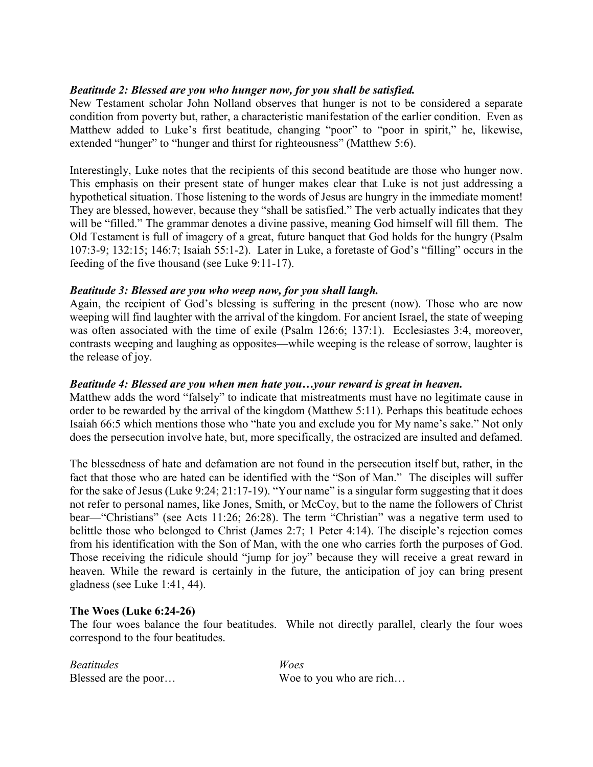# *Beatitude 2: Blessed are you who hunger now, for you shall be satisfied.*

New Testament scholar John Nolland observes that hunger is not to be considered a separate condition from poverty but, rather, a characteristic manifestation of the earlier condition. Even as Matthew added to Luke's first beatitude, changing "poor" to "poor in spirit," he, likewise, extended "hunger" to "hunger and thirst for righteousness" (Matthew 5:6).

Interestingly, Luke notes that the recipients of this second beatitude are those who hunger now. This emphasis on their present state of hunger makes clear that Luke is not just addressing a hypothetical situation. Those listening to the words of Jesus are hungry in the immediate moment! They are blessed, however, because they "shall be satisfied." The verb actually indicates that they will be "filled." The grammar denotes a divine passive, meaning God himself will fill them. The Old Testament is full of imagery of a great, future banquet that God holds for the hungry (Psalm 107:3-9; 132:15; 146:7; Isaiah 55:1-2). Later in Luke, a foretaste of God's "filling" occurs in the feeding of the five thousand (see Luke 9:11-17).

# *Beatitude 3: Blessed are you who weep now, for you shall laugh.*

Again, the recipient of God's blessing is suffering in the present (now). Those who are now weeping will find laughter with the arrival of the kingdom. For ancient Israel, the state of weeping was often associated with the time of exile (Psalm 126:6; 137:1). Ecclesiastes 3:4, moreover, contrasts weeping and laughing as opposites—while weeping is the release of sorrow, laughter is the release of joy.

## *Beatitude 4: Blessed are you when men hate you…your reward is great in heaven.*

Matthew adds the word "falsely" to indicate that mistreatments must have no legitimate cause in order to be rewarded by the arrival of the kingdom (Matthew 5:11). Perhaps this beatitude echoes Isaiah 66:5 which mentions those who "hate you and exclude you for My name's sake." Not only does the persecution involve hate, but, more specifically, the ostracized are insulted and defamed.

The blessedness of hate and defamation are not found in the persecution itself but, rather, in the fact that those who are hated can be identified with the "Son of Man." The disciples will suffer for the sake of Jesus (Luke 9:24; 21:17-19). "Your name" is a singular form suggesting that it does not refer to personal names, like Jones, Smith, or McCoy, but to the name the followers of Christ bear—"Christians" (see Acts 11:26; 26:28). The term "Christian" was a negative term used to belittle those who belonged to Christ (James 2:7; 1 Peter 4:14). The disciple's rejection comes from his identification with the Son of Man, with the one who carries forth the purposes of God. Those receiving the ridicule should "jump for joy" because they will receive a great reward in heaven. While the reward is certainly in the future, the anticipation of joy can bring present gladness (see Luke 1:41, 44).

### **The Woes (Luke 6:24-26)**

The four woes balance the four beatitudes. While not directly parallel, clearly the four woes correspond to the four beatitudes.

| Beatitudes           | Woes                    |
|----------------------|-------------------------|
| Blessed are the poor | Woe to you who are rich |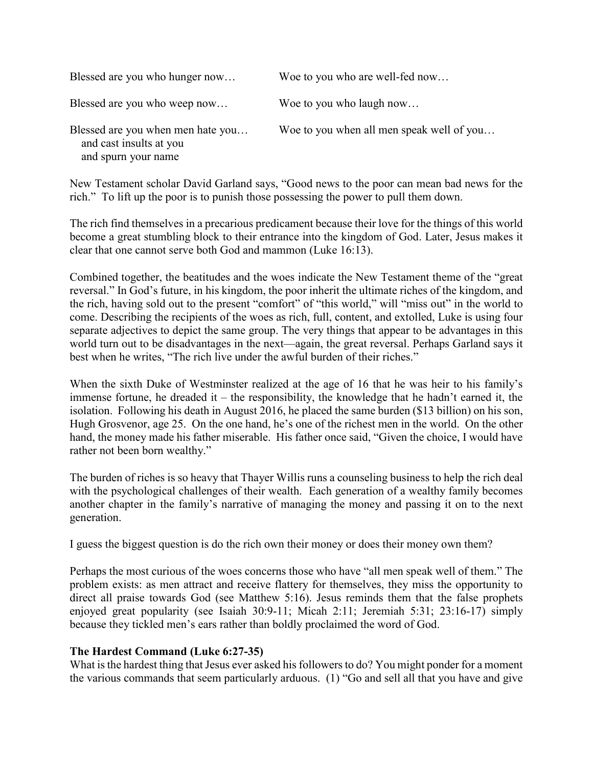| Blessed are you who hunger now                                                      | Woe to you who are well-fed now           |
|-------------------------------------------------------------------------------------|-------------------------------------------|
| Blessed are you who weep now                                                        | Woe to you who laugh now                  |
| Blessed are you when men hate you<br>and cast insults at you<br>and spurn your name | Woe to you when all men speak well of you |

New Testament scholar David Garland says, "Good news to the poor can mean bad news for the rich." To lift up the poor is to punish those possessing the power to pull them down.

The rich find themselves in a precarious predicament because their love for the things of this world become a great stumbling block to their entrance into the kingdom of God. Later, Jesus makes it clear that one cannot serve both God and mammon (Luke 16:13).

Combined together, the beatitudes and the woes indicate the New Testament theme of the "great reversal." In God's future, in his kingdom, the poor inherit the ultimate riches of the kingdom, and the rich, having sold out to the present "comfort" of "this world," will "miss out" in the world to come. Describing the recipients of the woes as rich, full, content, and extolled, Luke is using four separate adjectives to depict the same group. The very things that appear to be advantages in this world turn out to be disadvantages in the next—again, the great reversal. Perhaps Garland says it best when he writes, "The rich live under the awful burden of their riches."

When the sixth Duke of Westminster realized at the age of 16 that he was heir to his family's immense fortune, he dreaded it – the responsibility, the knowledge that he hadn't earned it, the isolation. Following his death in August 2016, he placed the same burden (\$13 billion) on his son, Hugh Grosvenor, age 25. On the one hand, he's one of the richest men in the world. On the other hand, the money made his father miserable. His father once said, "Given the choice, I would have rather not been born wealthy."

The burden of riches is so heavy that Thayer Willis runs a counseling business to help the rich deal with the psychological challenges of their wealth. Each generation of a wealthy family becomes another chapter in the family's narrative of managing the money and passing it on to the next generation.

I guess the biggest question is do the rich own their money or does their money own them?

Perhaps the most curious of the woes concerns those who have "all men speak well of them." The problem exists: as men attract and receive flattery for themselves, they miss the opportunity to direct all praise towards God (see Matthew 5:16). Jesus reminds them that the false prophets enjoyed great popularity (see Isaiah 30:9-11; Micah 2:11; Jeremiah 5:31; 23:16-17) simply because they tickled men's ears rather than boldly proclaimed the word of God.

### **The Hardest Command (Luke 6:27-35)**

What is the hardest thing that Jesus ever asked his followers to do? You might ponder for a moment the various commands that seem particularly arduous. (1) "Go and sell all that you have and give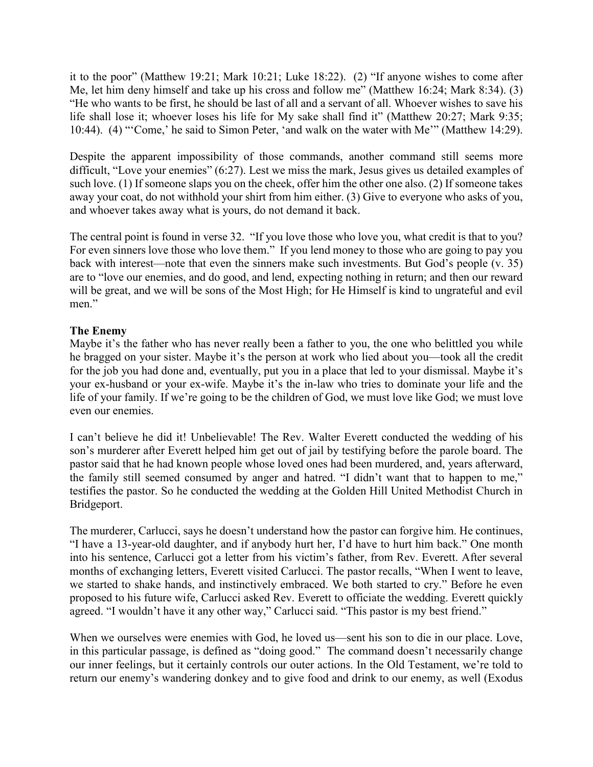it to the poor" (Matthew 19:21; Mark 10:21; Luke 18:22). (2) "If anyone wishes to come after Me, let him deny himself and take up his cross and follow me" (Matthew 16:24; Mark 8:34). (3) "He who wants to be first, he should be last of all and a servant of all. Whoever wishes to save his life shall lose it; whoever loses his life for My sake shall find it" (Matthew 20:27; Mark 9:35; 10:44). (4) "'Come,' he said to Simon Peter, 'and walk on the water with Me'" (Matthew 14:29).

Despite the apparent impossibility of those commands, another command still seems more difficult, "Love your enemies" (6:27). Lest we miss the mark, Jesus gives us detailed examples of such love. (1) If someone slaps you on the cheek, offer him the other one also. (2) If someone takes away your coat, do not withhold your shirt from him either. (3) Give to everyone who asks of you, and whoever takes away what is yours, do not demand it back.

The central point is found in verse 32. "If you love those who love you, what credit is that to you? For even sinners love those who love them." If you lend money to those who are going to pay you back with interest—note that even the sinners make such investments. But God's people (v. 35) are to "love our enemies, and do good, and lend, expecting nothing in return; and then our reward will be great, and we will be sons of the Most High; for He Himself is kind to ungrateful and evil men."

# **The Enemy**

Maybe it's the father who has never really been a father to you, the one who belittled you while he bragged on your sister. Maybe it's the person at work who lied about you—took all the credit for the job you had done and, eventually, put you in a place that led to your dismissal. Maybe it's your ex-husband or your ex-wife. Maybe it's the in-law who tries to dominate your life and the life of your family. If we're going to be the children of God, we must love like God; we must love even our enemies.

I can't believe he did it! Unbelievable! The Rev. Walter Everett conducted the wedding of his son's murderer after Everett helped him get out of jail by testifying before the parole board. The pastor said that he had known people whose loved ones had been murdered, and, years afterward, the family still seemed consumed by anger and hatred. "I didn't want that to happen to me," testifies the pastor. So he conducted the wedding at the Golden Hill United Methodist Church in Bridgeport.

The murderer, Carlucci, says he doesn't understand how the pastor can forgive him. He continues, "I have a 13-year-old daughter, and if anybody hurt her, I'd have to hurt him back." One month into his sentence, Carlucci got a letter from his victim's father, from Rev. Everett. After several months of exchanging letters, Everett visited Carlucci. The pastor recalls, "When I went to leave, we started to shake hands, and instinctively embraced. We both started to cry." Before he even proposed to his future wife, Carlucci asked Rev. Everett to officiate the wedding. Everett quickly agreed. "I wouldn't have it any other way," Carlucci said. "This pastor is my best friend."

When we ourselves were enemies with God, he loved us—sent his son to die in our place. Love, in this particular passage, is defined as "doing good." The command doesn't necessarily change our inner feelings, but it certainly controls our outer actions. In the Old Testament, we're told to return our enemy's wandering donkey and to give food and drink to our enemy, as well (Exodus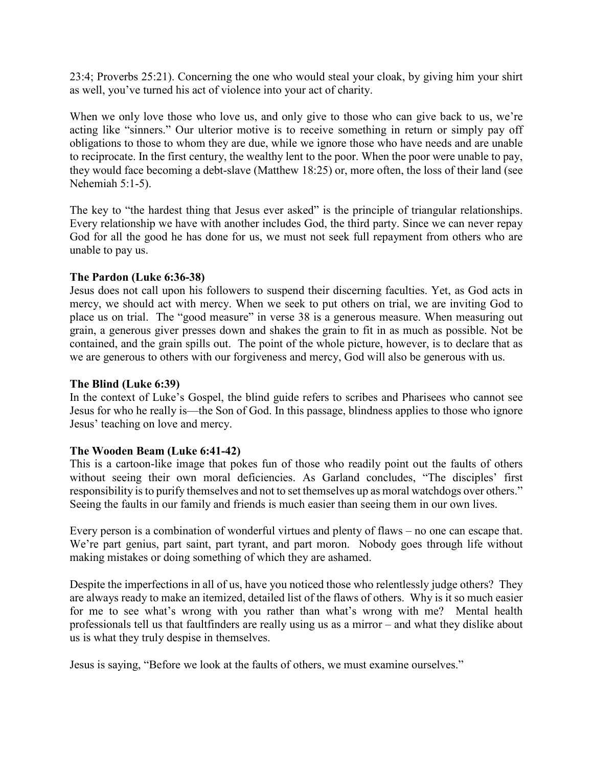23:4; Proverbs 25:21). Concerning the one who would steal your cloak, by giving him your shirt as well, you've turned his act of violence into your act of charity.

When we only love those who love us, and only give to those who can give back to us, we're acting like "sinners." Our ulterior motive is to receive something in return or simply pay off obligations to those to whom they are due, while we ignore those who have needs and are unable to reciprocate. In the first century, the wealthy lent to the poor. When the poor were unable to pay, they would face becoming a debt-slave (Matthew 18:25) or, more often, the loss of their land (see Nehemiah 5:1-5).

The key to "the hardest thing that Jesus ever asked" is the principle of triangular relationships. Every relationship we have with another includes God, the third party. Since we can never repay God for all the good he has done for us, we must not seek full repayment from others who are unable to pay us.

### **The Pardon (Luke 6:36-38)**

Jesus does not call upon his followers to suspend their discerning faculties. Yet, as God acts in mercy, we should act with mercy. When we seek to put others on trial, we are inviting God to place us on trial. The "good measure" in verse 38 is a generous measure. When measuring out grain, a generous giver presses down and shakes the grain to fit in as much as possible. Not be contained, and the grain spills out. The point of the whole picture, however, is to declare that as we are generous to others with our forgiveness and mercy, God will also be generous with us.

#### **The Blind (Luke 6:39)**

In the context of Luke's Gospel, the blind guide refers to scribes and Pharisees who cannot see Jesus for who he really is—the Son of God. In this passage, blindness applies to those who ignore Jesus' teaching on love and mercy.

### **The Wooden Beam (Luke 6:41-42)**

This is a cartoon-like image that pokes fun of those who readily point out the faults of others without seeing their own moral deficiencies. As Garland concludes, "The disciples' first responsibility is to purify themselves and not to set themselves up as moral watchdogs over others." Seeing the faults in our family and friends is much easier than seeing them in our own lives.

Every person is a combination of wonderful virtues and plenty of flaws – no one can escape that. We're part genius, part saint, part tyrant, and part moron. Nobody goes through life without making mistakes or doing something of which they are ashamed.

Despite the imperfections in all of us, have you noticed those who relentlessly judge others? They are always ready to make an itemized, detailed list of the flaws of others. Why is it so much easier for me to see what's wrong with you rather than what's wrong with me? Mental health professionals tell us that faultfinders are really using us as a mirror – and what they dislike about us is what they truly despise in themselves.

Jesus is saying, "Before we look at the faults of others, we must examine ourselves."